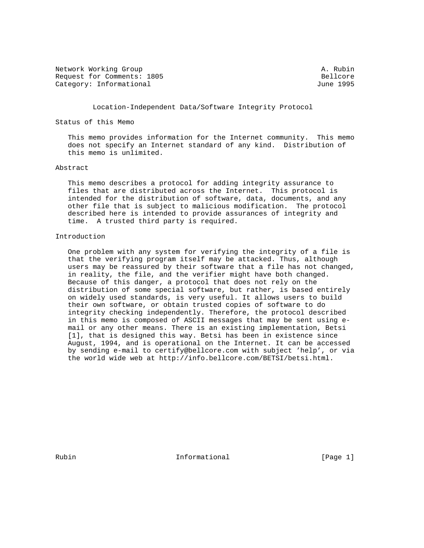Network Working Group and A. Rubin A. Rubin Request for Comments: 1805 Bellcore Category: Informational and Category: Informational and Category: June 1995

Location-Independent Data/Software Integrity Protocol

Status of this Memo

 This memo provides information for the Internet community. This memo does not specify an Internet standard of any kind. Distribution of this memo is unlimited.

#### Abstract

 This memo describes a protocol for adding integrity assurance to files that are distributed across the Internet. This protocol is intended for the distribution of software, data, documents, and any other file that is subject to malicious modification. The protocol described here is intended to provide assurances of integrity and time. A trusted third party is required.

## Introduction

 One problem with any system for verifying the integrity of a file is that the verifying program itself may be attacked. Thus, although users may be reassured by their software that a file has not changed, in reality, the file, and the verifier might have both changed. Because of this danger, a protocol that does not rely on the distribution of some special software, but rather, is based entirely on widely used standards, is very useful. It allows users to build their own software, or obtain trusted copies of software to do integrity checking independently. Therefore, the protocol described in this memo is composed of ASCII messages that may be sent using e mail or any other means. There is an existing implementation, Betsi [1], that is designed this way. Betsi has been in existence since August, 1994, and is operational on the Internet. It can be accessed by sending e-mail to certify@bellcore.com with subject 'help', or via the world wide web at http://info.bellcore.com/BETSI/betsi.html.

Rubin **Informational** Informational [Page 1]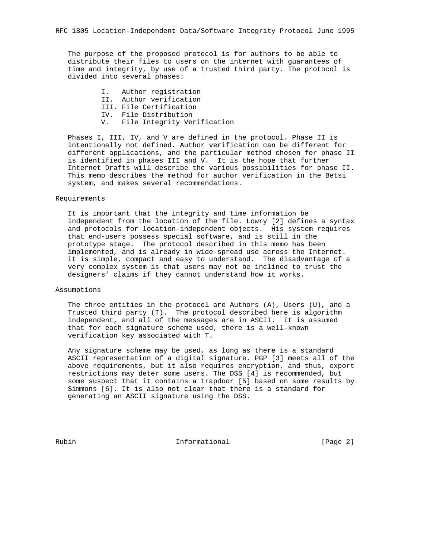The purpose of the proposed protocol is for authors to be able to distribute their files to users on the internet with guarantees of time and integrity, by use of a trusted third party. The protocol is divided into several phases:

> I. Author registration II. Author verification III. File Certification IV. File Distribution V. File Integrity Verification

 Phases I, III, IV, and V are defined in the protocol. Phase II is intentionally not defined. Author verification can be different for different applications, and the particular method chosen for phase II is identified in phases III and V. It is the hope that further Internet Drafts will describe the various possibilities for phase II. This memo describes the method for author verification in the Betsi system, and makes several recommendations.

#### Requirements

 It is important that the integrity and time information be independent from the location of the file. Lowry [2] defines a syntax and protocols for location-independent objects. His system requires that end-users possess special software, and is still in the prototype stage. The protocol described in this memo has been implemented, and is already in wide-spread use across the Internet. It is simple, compact and easy to understand. The disadvantage of a very complex system is that users may not be inclined to trust the designers' claims if they cannot understand how it works.

Assumptions

 The three entities in the protocol are Authors (A), Users (U), and a Trusted third party (T). The protocol described here is algorithm independent, and all of the messages are in ASCII. It is assumed that for each signature scheme used, there is a well-known verification key associated with T.

 Any signature scheme may be used, as long as there is a standard ASCII representation of a digital signature. PGP [3] meets all of the above requirements, but it also requires encryption, and thus, export restrictions may deter some users. The DSS [4] is recommended, but some suspect that it contains a trapdoor [5] based on some results by Simmons [6]. It is also not clear that there is a standard for generating an ASCII signature using the DSS.

Rubin **Informational** Informational [Page 2]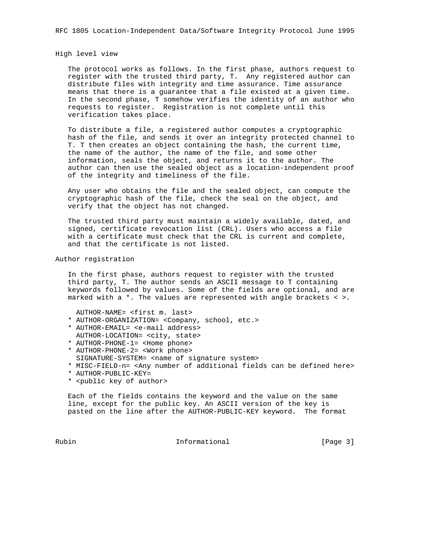High level view

 The protocol works as follows. In the first phase, authors request to register with the trusted third party, T. Any registered author can distribute files with integrity and time assurance. Time assurance means that there is a guarantee that a file existed at a given time. In the second phase, T somehow verifies the identity of an author who requests to register. Registration is not complete until this verification takes place.

 To distribute a file, a registered author computes a cryptographic hash of the file, and sends it over an integrity protected channel to T. T then creates an object containing the hash, the current time, the name of the author, the name of the file, and some other information, seals the object, and returns it to the author. The author can then use the sealed object as a location-independent proof of the integrity and timeliness of the file.

 Any user who obtains the file and the sealed object, can compute the cryptographic hash of the file, check the seal on the object, and verify that the object has not changed.

 The trusted third party must maintain a widely available, dated, and signed, certificate revocation list (CRL). Users who access a file with a certificate must check that the CRL is current and complete, and that the certificate is not listed.

#### Author registration

 In the first phase, authors request to register with the trusted third party, T. The author sends an ASCII message to T containing keywords followed by values. Some of the fields are optional, and are marked with a \*. The values are represented with angle brackets < >.

AUTHOR-NAME= <first m. last>

- \* AUTHOR-ORGANIZATION= <Company, school, etc.>
- \* AUTHOR-EMAIL= <e-mail address> AUTHOR-LOCATION= <city, state>
- \* AUTHOR-PHONE-1= <Home phone>
- \* AUTHOR-PHONE-2= <Work phone> SIGNATURE-SYSTEM= <name of signature system>
- \* MISC-FIELD-n= <Any number of additional fields can be defined here>
- \* AUTHOR-PUBLIC-KEY=
- \* <public key of author>

 Each of the fields contains the keyword and the value on the same line, except for the public key. An ASCII version of the key is pasted on the line after the AUTHOR-PUBLIC-KEY keyword. The format

Rubin **Informational Informational** [Page 3]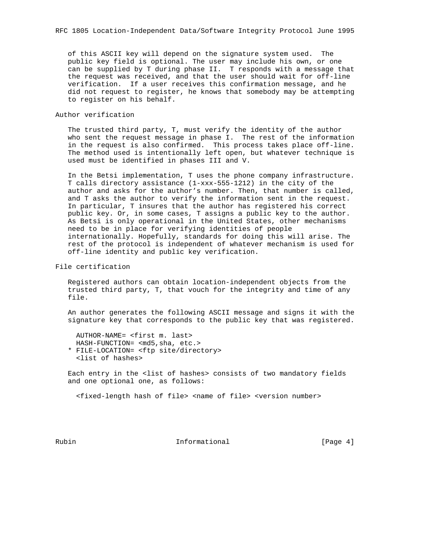of this ASCII key will depend on the signature system used. The public key field is optional. The user may include his own, or one can be supplied by T during phase II. T responds with a message that the request was received, and that the user should wait for off-line verification. If a user receives this confirmation message, and he did not request to register, he knows that somebody may be attempting to register on his behalf.

## Author verification

 The trusted third party, T, must verify the identity of the author who sent the request message in phase I. The rest of the information in the request is also confirmed. This process takes place off-line. The method used is intentionally left open, but whatever technique is used must be identified in phases III and V.

 In the Betsi implementation, T uses the phone company infrastructure. T calls directory assistance (1-xxx-555-1212) in the city of the author and asks for the author's number. Then, that number is called, and T asks the author to verify the information sent in the request. In particular, T insures that the author has registered his correct public key. Or, in some cases, T assigns a public key to the author. As Betsi is only operational in the United States, other mechanisms need to be in place for verifying identities of people internationally. Hopefully, standards for doing this will arise. The rest of the protocol is independent of whatever mechanism is used for off-line identity and public key verification.

## File certification

 Registered authors can obtain location-independent objects from the trusted third party, T, that vouch for the integrity and time of any file.

 An author generates the following ASCII message and signs it with the signature key that corresponds to the public key that was registered.

 AUTHOR-NAME= <first m. last> HASH-FUNCTION= <md5,sha, etc.>

 \* FILE-LOCATION= <ftp site/directory> <list of hashes>

 Each entry in the <list of hashes> consists of two mandatory fields and one optional one, as follows:

<fixed-length hash of file> <name of file> <version number>

Rubin **Informational** Informational [Page 4]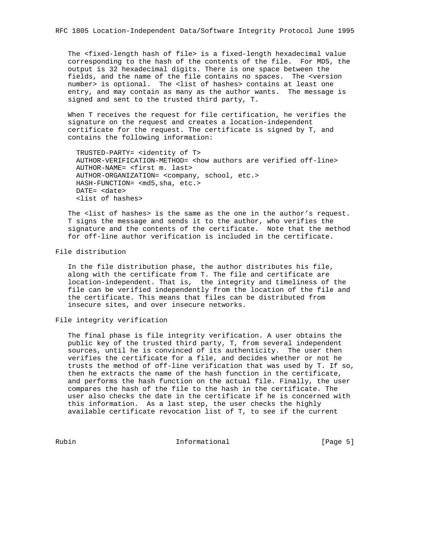The <fixed-length hash of file> is a fixed-length hexadecimal value corresponding to the hash of the contents of the file. For MD5, the output is 32 hexadecimal digits. There is one space between the fields, and the name of the file contains no spaces. The <version number> is optional. The <list of hashes> contains at least one entry, and may contain as many as the author wants. The message is signed and sent to the trusted third party, T.

 When T receives the request for file certification, he verifies the signature on the request and creates a location-independent certificate for the request. The certificate is signed by T, and contains the following information:

 TRUSTED-PARTY= <identity of T> AUTHOR-VERIFICATION-METHOD= <how authors are verified off-line> AUTHOR-NAME= <first m. last> AUTHOR-ORGANIZATION= <company, school, etc.> HASH-FUNCTION= <md5,sha, etc.> DATE= <date> <list of hashes>

The <list of hashes> is the same as the one in the author's request. T signs the message and sends it to the author, who verifies the signature and the contents of the certificate. Note that the method for off-line author verification is included in the certificate.

#### File distribution

 In the file distribution phase, the author distributes his file, along with the certificate from T. The file and certificate are location-independent. That is, the integrity and timeliness of the file can be verified independently from the location of the file and the certificate. This means that files can be distributed from insecure sites, and over insecure networks.

## File integrity verification

 The final phase is file integrity verification. A user obtains the public key of the trusted third party, T, from several independent sources, until he is convinced of its authenticity. The user then verifies the certificate for a file, and decides whether or not he trusts the method of off-line verification that was used by T. If so, then he extracts the name of the hash function in the certificate, and performs the hash function on the actual file. Finally, the user compares the hash of the file to the hash in the certificate. The user also checks the date in the certificate if he is concerned with this information. As a last step, the user checks the highly available certificate revocation list of T, to see if the current

Rubin **Informational** Informational [Page 5]